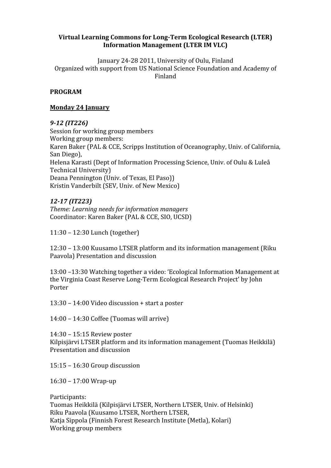# Virtual Learning Commons for Long-Term Ecological Research (LTER) **Information
Management
(LTER
IM
VLC)**

January
24‐28
2011,
University
of
Oulu,
Finland Organized
with
support
from
US
National
Science
Foundation
and
Academy
of Finland

# **PROGRAM**

# **Monday
24
January**

# *912
(IT226)*

Session
for
working
group
members Working group members: Karen
Baker
(PAL
&
CCE,
Scripps
Institution
of
Oceanography,
Univ.
of
California, San
Diego), Helena Karasti (Dept of Information Processing Science, Univ. of Oulu & Luleå Technical
University) Deana
Pennington
(Univ.
of
Texas,
El
Paso)) Kristin
Vanderbilt
(SEV,
Univ.
of
New
Mexico)

# *1217
(IT223)*

*Theme: Learning needs for information managers* Coordinator:
Karen
Baker
(PAL
&
CCE,
SIO,
UCSD)

11:30
–
12:30
Lunch
(together)

12:30
–
13:00
Kuusamo
LTSER
platform
and
its
information
management
(Riku Paavola)
Presentation
and
discussion

13:00
–13:30
Watching
together
a
video:
'Ecological
Information
Management
at the
Virginia
Coast
Reserve
Long‐Term
Ecological
Research
Project'
by
John Porter

13:30
–
14:00
Video
discussion
+
start
a
poster

14:00
–
14:30
Coffee
(Tuomas
will
arrive)

14:30
–
15:15
Review
poster Kilpisjärvi
LTSER
platform
and
its
information
management
(Tuomas
Heikkilä) Presentation
and
discussion

15:15 –
16:30
Group
discussion

16:30
–
17:00
Wrap‐up

Participants: Tuomas
Heikkilä
(Kilpisjärvi
LTSER,
Northern
LTSER,
Univ.
of
Helsinki) Riku
Paavola
(Kuusamo
LTSER,
Northern
LTSER, Katja
Sippola
(Finnish
Forest
Research
Institute
(Metla),
Kolari) Working
group
members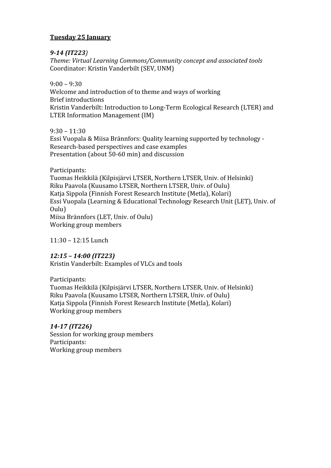# **Tuesday
25
January**

# *914
(IT223)*

*Theme:
Virtual
Learning
Commons/Community
concept
and
associated
tools* Coordinator:
Kristin
Vanderbilt
(SEV,
UNM)

 $9:00 - 9:30$ Welcome and introduction of to theme and ways of working Brief
introductions Kristin
Vanderbilt:
Introduction
to
Long‐Term
Ecological
Research
(LTER)
and LTER
Information
Management
(IM)

 $9:30 - 11:30$ Essi
Vuopala
&
Miisa
Brännfors:
Quality
learning
supported
by
technology
‐ Research‐based
perspectives
and
case
examples Presentation
(about
50‐60
min)
and
discussion

Participants: Tuomas
Heikkilä
(Kilpisjärvi
LTSER,
Northern
LTSER,
Univ.
of
Helsinki) Riku
Paavola
(Kuusamo
LTSER,
Northern
LTSER,
Univ.
of
Oulu) Katja
Sippola
(Finnish
Forest
Research
Institute
(Metla),
Kolari) Essi
Vuopala
(Learning
&
Educational
Technology
Research
Unit
(LET),
Univ.
of Oulu) Miisa
Brännfors
(LET,
Univ.
of
Oulu) Working
group
members

11:30
–
12:15
Lunch

# *12:15
–
14:00
(IT223)*

Kristin
Vanderbilt:
Examples
of
VLCs
and
tools

Participants:

Tuomas
Heikkilä
(Kilpisjärvi
LTSER,
Northern
LTSER,
Univ.
of
Helsinki) Riku
Paavola
(Kuusamo
LTSER,
Northern
LTSER,
Univ.
of
Oulu) Katja
Sippola
(Finnish
Forest
Research
Institute
(Metla),
Kolari) Working
group
members

*1417
(IT226)* Session
for
working
group
members Participants: Working
group
members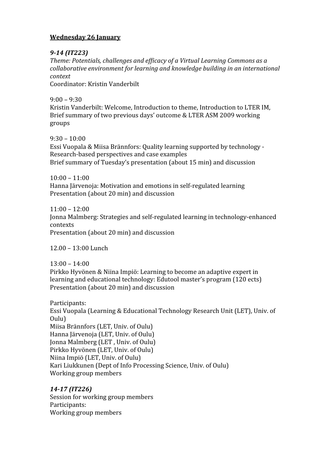# **Wednesday
26
January**

# *914
(IT223)*

*Theme:
Potentials,
challenges
and
efficacy
of
a
Virtual
Learning
Commons
as
a collaborative
environment
for
learning
and
knowledge
building
in
an
international context*

Coordinator:
Kristin
Vanderbilt

 $9:00 - 9:30$ Kristin Vanderbilt: Welcome, Introduction to theme, Introduction to LTER IM, Brief
summary
of
two
previous
days'
outcome
&
LTER
ASM
2009
working groups

 $9:30 - 10:00$ Essi
Vuopala
&
Miisa
Brännfors:
Quality
learning
supported
by
technology
‐ Research‐based
perspectives
and
case
examples Brief
summary
of
Tuesday's
presentation
(about
15
min)
and
discussion

 $10:00 - 11:00$ Hanna
Järvenoja:
Motivation
and
emotions
in
self‐regulated
learning Presentation
(about
20
min)
and
discussion

 $11:00 - 12:00$ Jonna
Malmberg:
Strategies
and
self‐regulated
learning
in
technology‐enhanced contexts Presentation
(about
20
min)
and
discussion

12.00
–
13:00
Lunch

 $13:00 - 14:00$ Pirkko
Hyvönen
&
Niina
Impiö:
Learning
to
become
an
adaptive
expert
in learning
and
educational
technology:
Edutool
master's
program
(120
ects) Presentation
(about
20
min)
and
discussion

Participants: Essi
Vuopala
(Learning
&
Educational
Technology
Research
Unit
(LET),
Univ.
of Oulu) Miisa
Brännfors
(LET,
Univ.
of
Oulu) Hanna
Järvenoja
(LET,
Univ.
of
Oulu) Jonna
Malmberg
(LET
,
Univ.
of
Oulu) Pirkko
Hyvönen
(LET,
Univ.
of
Oulu) Niina
Impiö
(LET,
Univ.
of
Oulu) Kari
Liukkunen
(Dept
of
Info
Processing
Science,
Univ.
of
Oulu) Working
group
members

# *1417
(IT226)*

Session
for
working
group
members Participants: Working
group
members